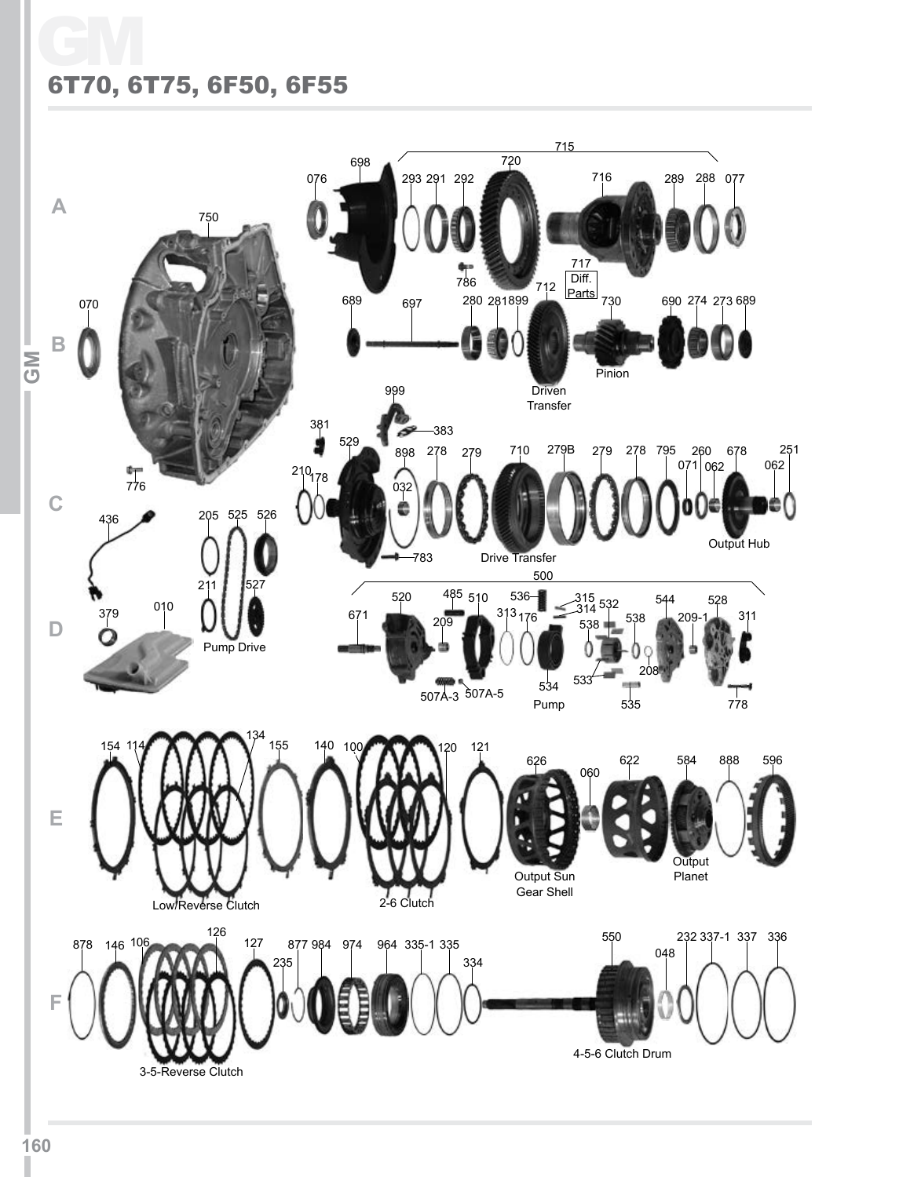## GM 6T70, 6T75, 6F50, 6F55

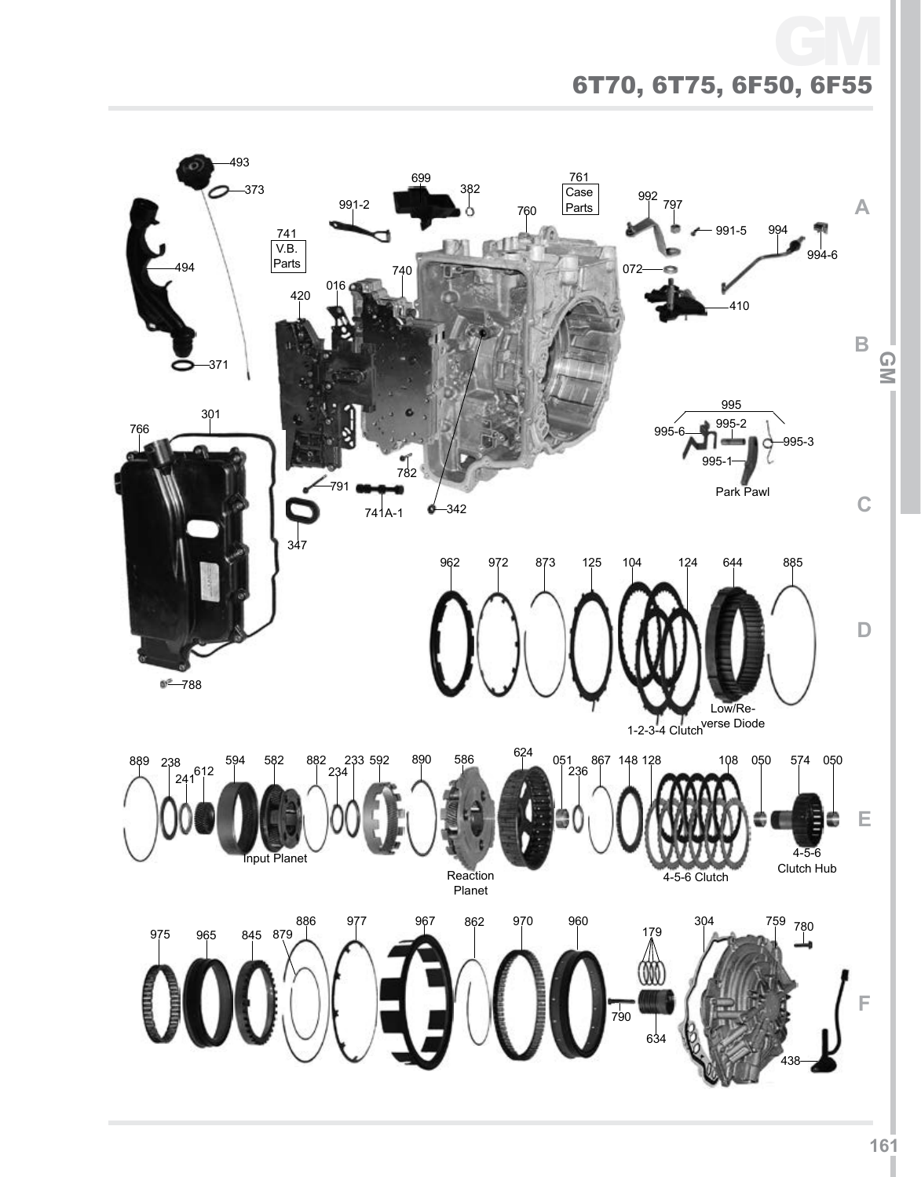## 6T70, 6T75, 6F50, 6F55 GM

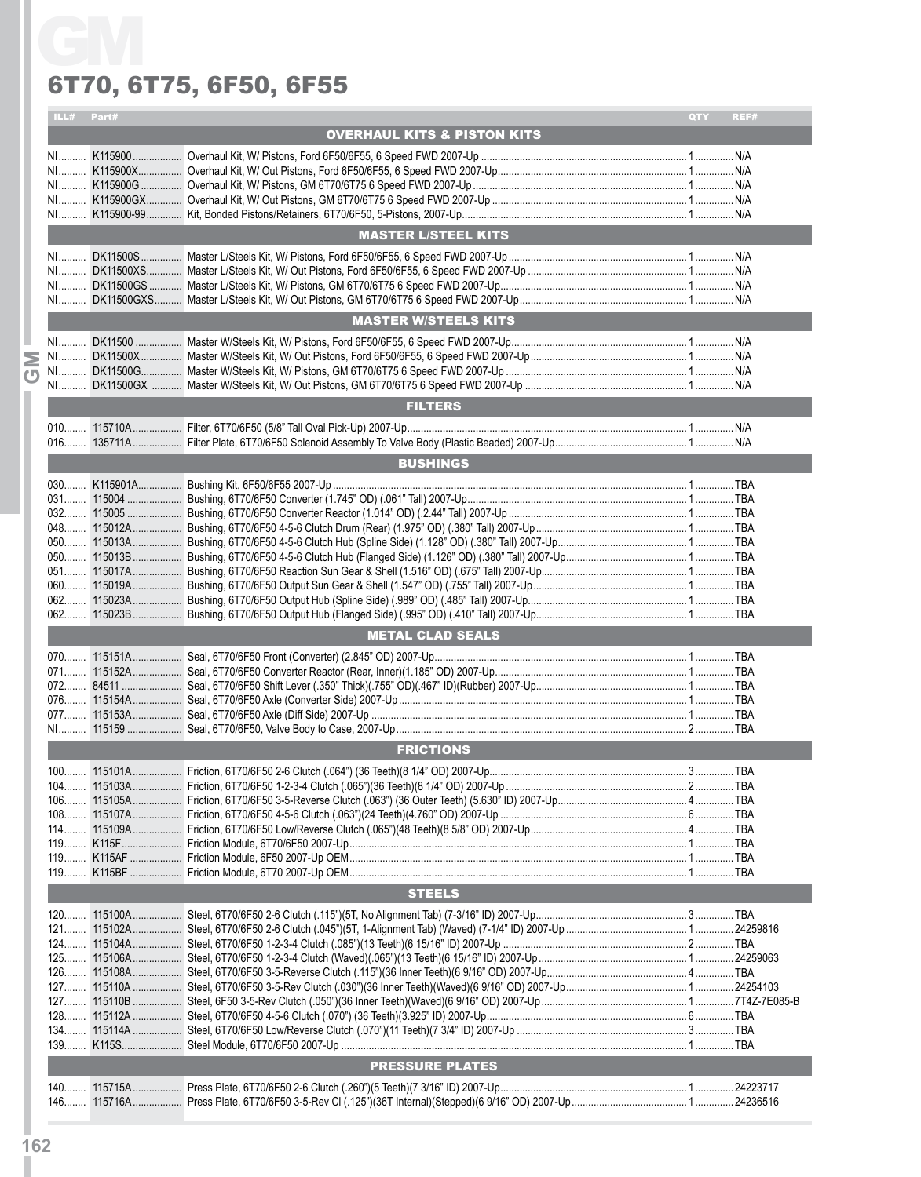#### 6T70, 6T75, 6F50, 6F55

|      | ILL# Part# |                                                                                                             | QTY<br>REF# |
|------|------------|-------------------------------------------------------------------------------------------------------------|-------------|
|      |            | <b>OVERHAUL KITS &amp; PISTON KITS</b>                                                                      |             |
|      |            |                                                                                                             |             |
|      |            |                                                                                                             |             |
|      |            |                                                                                                             |             |
|      |            |                                                                                                             |             |
|      |            |                                                                                                             |             |
|      |            | <b>MASTER L/STEEL KITS</b>                                                                                  |             |
|      |            |                                                                                                             |             |
|      |            |                                                                                                             |             |
|      |            |                                                                                                             |             |
|      |            |                                                                                                             |             |
|      |            | <b>MASTER W/STEELS KITS</b>                                                                                 |             |
|      |            |                                                                                                             |             |
|      |            |                                                                                                             |             |
|      |            |                                                                                                             |             |
|      |            | <b>FILTERS</b>                                                                                              |             |
|      |            |                                                                                                             |             |
|      |            |                                                                                                             |             |
|      |            |                                                                                                             |             |
|      |            | <b>BUSHINGS</b>                                                                                             |             |
|      |            |                                                                                                             |             |
|      |            |                                                                                                             |             |
|      |            |                                                                                                             |             |
|      |            |                                                                                                             |             |
|      |            |                                                                                                             |             |
|      |            |                                                                                                             |             |
|      |            |                                                                                                             |             |
|      |            |                                                                                                             |             |
|      |            |                                                                                                             |             |
|      |            | <b>METAL CLAD SEALS</b>                                                                                     |             |
|      |            |                                                                                                             |             |
|      |            |                                                                                                             |             |
| 072. | 84511      | Seal, 6T70/6F50 Shift Lever (.350" Thick)(.755" OD)(.467" ID)(Rubber) 2007-Up……………………………………………………………………………… |             |
|      |            |                                                                                                             |             |
|      |            |                                                                                                             |             |
|      |            | <b>FRICTIONS</b>                                                                                            |             |
|      |            |                                                                                                             |             |
|      |            |                                                                                                             |             |
|      |            |                                                                                                             |             |
|      |            |                                                                                                             |             |
|      |            |                                                                                                             |             |
|      |            |                                                                                                             |             |
|      |            |                                                                                                             |             |
|      |            | <b>STEELS</b>                                                                                               |             |
|      |            |                                                                                                             |             |
|      |            |                                                                                                             |             |
|      |            |                                                                                                             |             |
|      |            |                                                                                                             |             |
|      |            |                                                                                                             |             |
|      |            |                                                                                                             |             |
|      |            |                                                                                                             |             |
|      |            |                                                                                                             |             |
|      |            |                                                                                                             |             |
|      |            |                                                                                                             |             |
|      |            | <b>PRESSURE PLATES</b>                                                                                      |             |
|      |            |                                                                                                             |             |
|      |            |                                                                                                             |             |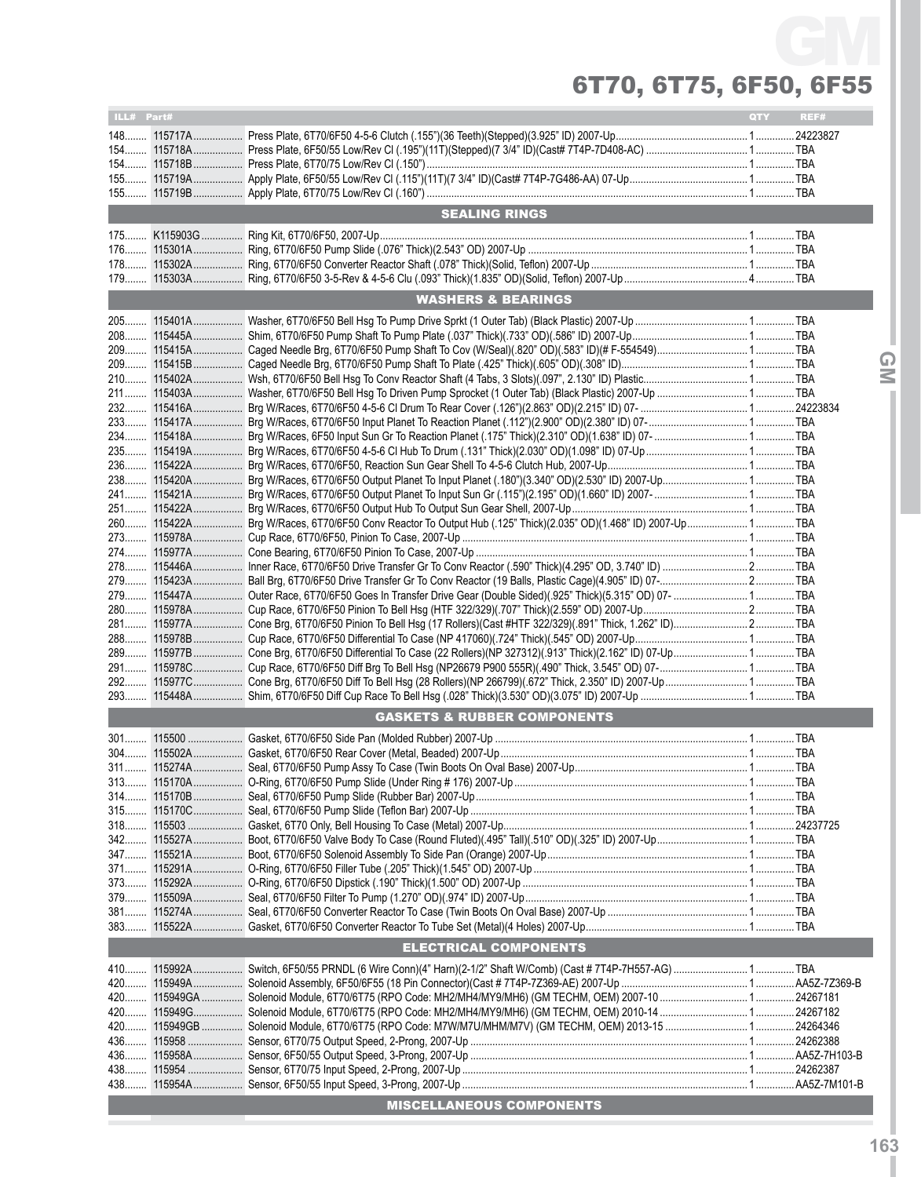# 6T70, 6T75, 6F50, 6F55 GM

| ILL# Part# |                               |                                        | QTY | REF#         |  |  |  |  |  |  |
|------------|-------------------------------|----------------------------------------|-----|--------------|--|--|--|--|--|--|
|            |                               |                                        |     |              |  |  |  |  |  |  |
|            |                               |                                        |     |              |  |  |  |  |  |  |
|            |                               |                                        |     |              |  |  |  |  |  |  |
|            |                               |                                        |     |              |  |  |  |  |  |  |
|            |                               |                                        |     |              |  |  |  |  |  |  |
|            |                               | <b>SEALING RINGS</b>                   |     |              |  |  |  |  |  |  |
|            |                               |                                        |     |              |  |  |  |  |  |  |
|            |                               |                                        |     |              |  |  |  |  |  |  |
|            |                               |                                        |     |              |  |  |  |  |  |  |
|            |                               |                                        |     |              |  |  |  |  |  |  |
|            |                               |                                        |     |              |  |  |  |  |  |  |
|            | <b>WASHERS &amp; BEARINGS</b> |                                        |     |              |  |  |  |  |  |  |
|            |                               |                                        |     |              |  |  |  |  |  |  |
|            |                               |                                        |     |              |  |  |  |  |  |  |
|            |                               |                                        |     |              |  |  |  |  |  |  |
|            |                               |                                        |     | $\bf \Omega$ |  |  |  |  |  |  |
|            |                               |                                        |     | $\leq$       |  |  |  |  |  |  |
|            |                               |                                        |     |              |  |  |  |  |  |  |
|            |                               |                                        |     |              |  |  |  |  |  |  |
|            |                               |                                        |     |              |  |  |  |  |  |  |
|            |                               |                                        |     |              |  |  |  |  |  |  |
|            |                               |                                        |     |              |  |  |  |  |  |  |
|            |                               |                                        |     |              |  |  |  |  |  |  |
|            |                               |                                        |     |              |  |  |  |  |  |  |
|            |                               |                                        |     |              |  |  |  |  |  |  |
|            |                               |                                        |     |              |  |  |  |  |  |  |
|            |                               |                                        |     |              |  |  |  |  |  |  |
|            |                               |                                        |     |              |  |  |  |  |  |  |
|            |                               |                                        |     |              |  |  |  |  |  |  |
|            |                               |                                        |     |              |  |  |  |  |  |  |
|            |                               |                                        |     |              |  |  |  |  |  |  |
|            |                               |                                        |     |              |  |  |  |  |  |  |
|            |                               |                                        |     |              |  |  |  |  |  |  |
|            |                               |                                        |     |              |  |  |  |  |  |  |
|            |                               |                                        |     |              |  |  |  |  |  |  |
|            |                               |                                        |     |              |  |  |  |  |  |  |
|            |                               |                                        |     |              |  |  |  |  |  |  |
|            |                               |                                        |     |              |  |  |  |  |  |  |
|            |                               |                                        |     |              |  |  |  |  |  |  |
|            |                               | <b>GASKETS &amp; RUBBER COMPONENTS</b> |     |              |  |  |  |  |  |  |
|            |                               |                                        |     |              |  |  |  |  |  |  |
|            |                               |                                        |     |              |  |  |  |  |  |  |
|            |                               |                                        |     |              |  |  |  |  |  |  |
|            |                               |                                        |     |              |  |  |  |  |  |  |
|            |                               |                                        |     |              |  |  |  |  |  |  |
|            |                               |                                        |     |              |  |  |  |  |  |  |
|            |                               |                                        |     |              |  |  |  |  |  |  |
|            |                               |                                        |     |              |  |  |  |  |  |  |
|            |                               |                                        |     |              |  |  |  |  |  |  |
|            |                               |                                        |     |              |  |  |  |  |  |  |
|            |                               |                                        |     |              |  |  |  |  |  |  |
|            |                               |                                        |     |              |  |  |  |  |  |  |
|            |                               |                                        |     |              |  |  |  |  |  |  |
|            |                               |                                        |     |              |  |  |  |  |  |  |
|            |                               | <b>ELECTRICAL COMPONENTS</b>           |     |              |  |  |  |  |  |  |
|            |                               |                                        |     |              |  |  |  |  |  |  |
|            |                               |                                        |     |              |  |  |  |  |  |  |
|            |                               |                                        |     |              |  |  |  |  |  |  |
|            |                               |                                        |     |              |  |  |  |  |  |  |
|            |                               |                                        |     |              |  |  |  |  |  |  |
|            |                               |                                        |     |              |  |  |  |  |  |  |
|            |                               |                                        |     |              |  |  |  |  |  |  |
|            |                               |                                        |     |              |  |  |  |  |  |  |
|            |                               |                                        |     |              |  |  |  |  |  |  |
|            |                               |                                        |     |              |  |  |  |  |  |  |
|            |                               | <b>MISCELLANEOUS COMPONENTS</b>        |     |              |  |  |  |  |  |  |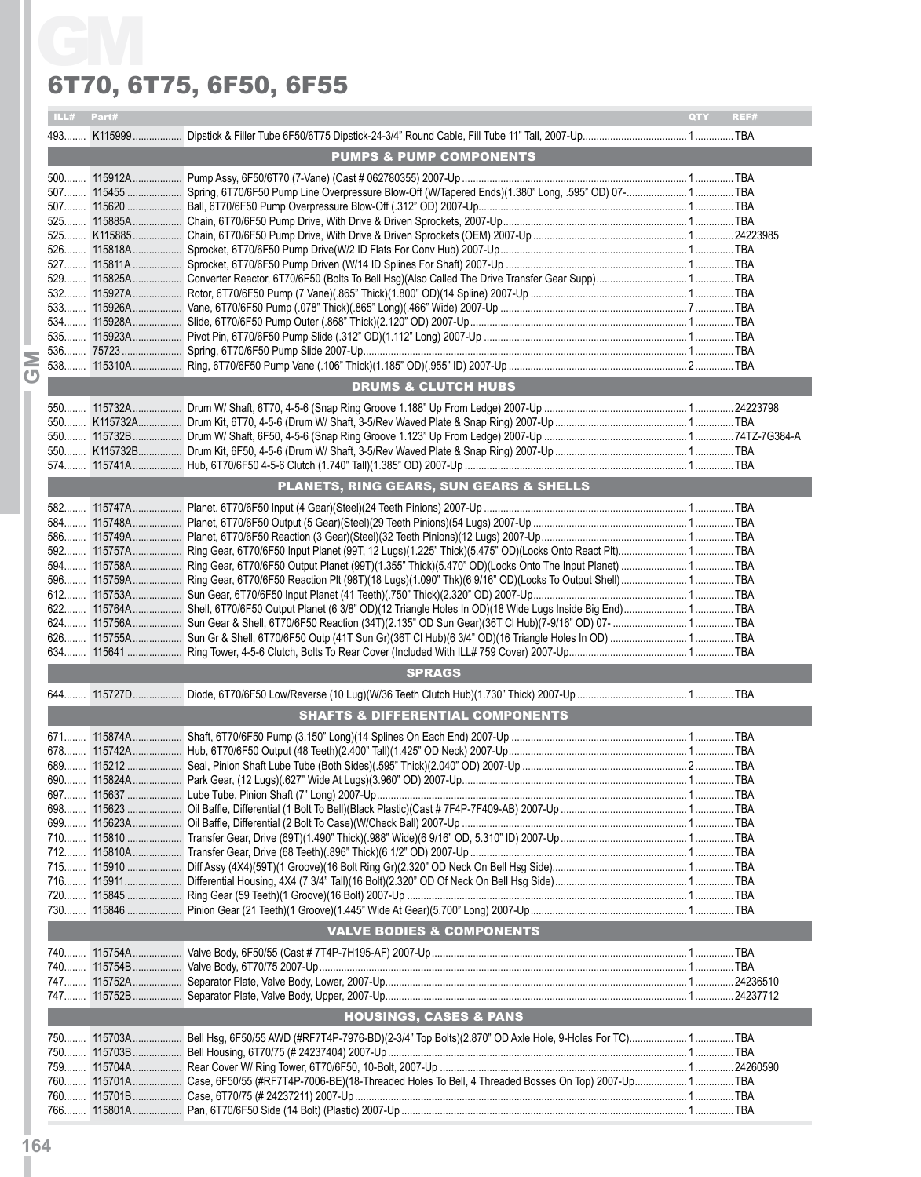#### 6T70, 6T75, 6F50, 6F55

| ILL# Part# |                                                                                                                            | QTY | REF# |
|------------|----------------------------------------------------------------------------------------------------------------------------|-----|------|
|            |                                                                                                                            |     |      |
|            | <b>PUMPS &amp; PUMP COMPONENTS</b>                                                                                         |     |      |
|            |                                                                                                                            |     |      |
|            | 507 115455  Spring, 6T70/6F50 Pump Line Overpressure Blow-Off (W/Tapered Ends)(1.380" Long, .595" OD) 07- TBA              |     |      |
|            |                                                                                                                            |     |      |
|            |                                                                                                                            |     |      |
|            |                                                                                                                            |     |      |
|            |                                                                                                                            |     |      |
|            |                                                                                                                            |     |      |
|            |                                                                                                                            |     |      |
|            |                                                                                                                            |     |      |
|            | 533……… 115926А……………… Vane, 6Т70/6F50 Pump (.078" Thick)(.865" Long)(.466" Wide) 2007-Up ……………………………………………………………………………… ТВА |     |      |
|            |                                                                                                                            |     |      |
|            |                                                                                                                            |     |      |
|            |                                                                                                                            |     |      |
|            | <b>DRUMS &amp; CLUTCH HUBS</b>                                                                                             |     |      |
|            |                                                                                                                            |     |      |
|            |                                                                                                                            |     |      |
|            |                                                                                                                            |     |      |
|            |                                                                                                                            |     |      |
|            |                                                                                                                            |     |      |
|            | PLANETS, RING GEARS, SUN GEARS & SHELLS                                                                                    |     |      |
|            |                                                                                                                            |     |      |
|            |                                                                                                                            |     |      |
|            |                                                                                                                            |     |      |
|            |                                                                                                                            |     |      |
|            | 592 115757A Ring Gear, 6T70/6F50 Input Planet (99T, 12 Lugs)(1.225" Thick)(5.475" OD)(Locks Onto React Plt) TBA            |     |      |
|            | 594 115758A Ring Gear, 6T70/6F50 Output Planet (99T)(1.355" Thick)(5.470" OD)(Locks Onto The Input Planet)  1 TBA          |     |      |
|            |                                                                                                                            |     |      |
|            |                                                                                                                            |     |      |
|            |                                                                                                                            |     |      |
|            |                                                                                                                            |     |      |
|            |                                                                                                                            |     |      |
|            | <b>SPRAGS</b>                                                                                                              |     |      |
|            |                                                                                                                            |     |      |
|            |                                                                                                                            |     |      |
|            | <b>SHAFTS &amp; DIFFERENTIAL COMPONENTS</b>                                                                                |     |      |
|            |                                                                                                                            |     |      |
|            |                                                                                                                            |     |      |
|            |                                                                                                                            |     |      |
|            |                                                                                                                            |     |      |
|            |                                                                                                                            |     |      |
|            |                                                                                                                            |     |      |
|            |                                                                                                                            |     |      |
|            |                                                                                                                            |     |      |
|            |                                                                                                                            |     |      |
|            |                                                                                                                            |     |      |
|            |                                                                                                                            |     |      |
|            |                                                                                                                            |     |      |
|            | <b>VALVE BODIES &amp; COMPONENTS</b>                                                                                       |     |      |
|            |                                                                                                                            |     |      |
|            |                                                                                                                            |     |      |
|            |                                                                                                                            |     |      |
|            |                                                                                                                            |     |      |
|            | <b>HOUSINGS, CASES &amp; PANS</b>                                                                                          |     |      |
|            |                                                                                                                            |     |      |
|            | 750 115703A Bell Hsg, 6F50/55 AWD (#RF7T4P-7976-BD)(2-3/4" Top Bolts)(2.870" OD Axle Hole, 9-Holes For TC) 1 TBA           |     |      |
|            |                                                                                                                            |     |      |
|            | 760 115701A Case, 6F50/55 (#RF7T4P-7006-BE)(18-Threaded Holes To Bell, 4 Threaded Bosses On Top) 2007-Up 1 TBA             |     |      |
|            |                                                                                                                            |     |      |
|            |                                                                                                                            |     |      |
|            |                                                                                                                            |     |      |

**164**